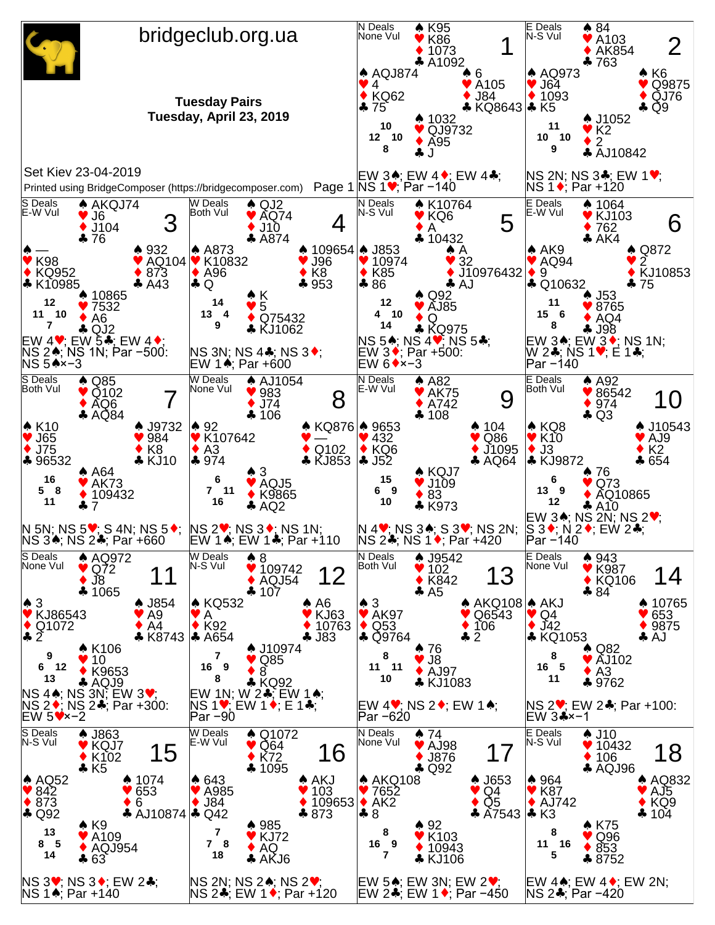